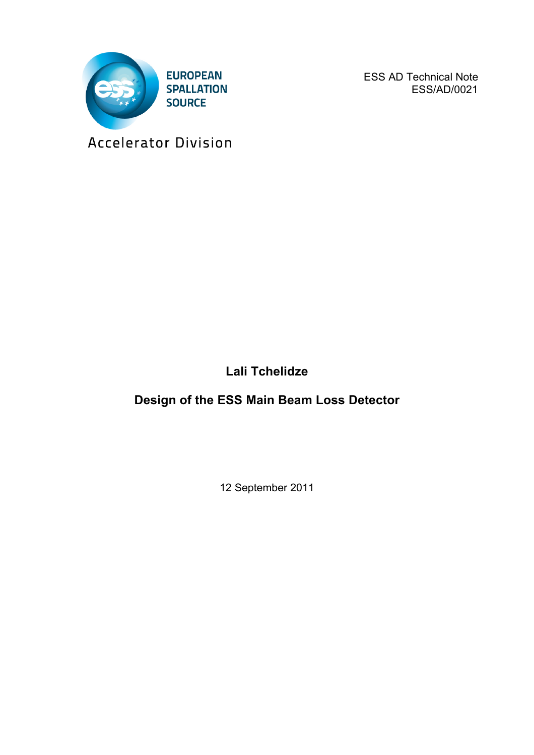

ESS AD Technical Note ESS/AD/0021

Accelerator Division

**Lali Tchelidze**

**Design of the ESS Main Beam Loss Detector**

12 September 2011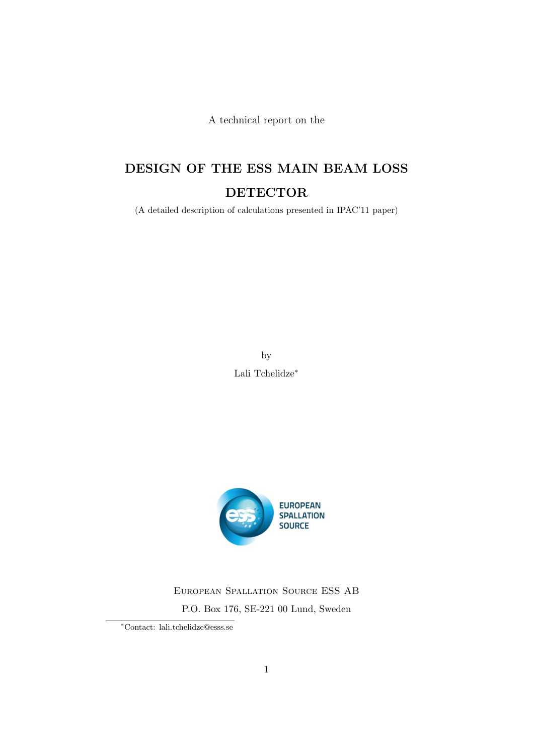A technical report on the

## DESIGN OF THE ESS MAIN BEAM LOSS DETECTOR

(A detailed description of calculations presented in IPAC'11 paper)

by Lali Tchelidze∗



European Spallation Source ESS AB P.O. Box 176, SE-221 00 Lund, Sweden

<sup>∗</sup>Contact: lali.tchelidze@esss.se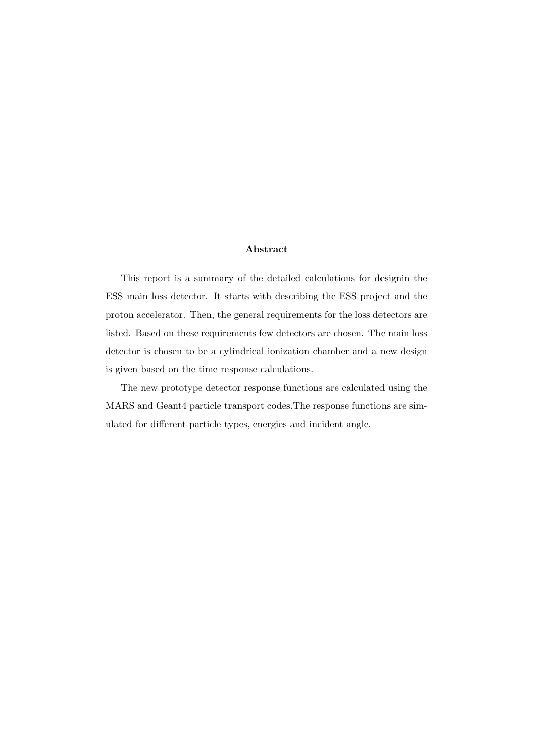#### Abstract

This report is a summary of the detailed calculations for designin the ESS main loss detector. It starts with describing the ESS project and the proton accelerator. Then, the general requirements for the loss detectors are listed. Based on these requirements few detectors are chosen. The main loss detector is chosen to be a cylindrical ionization chamber and a new design is given based on the time response calculations.

The new prototype detector response functions are calculated using the MARS and Geant4 particle transport codes.The response functions are simulated for different particle types, energies and incident angle.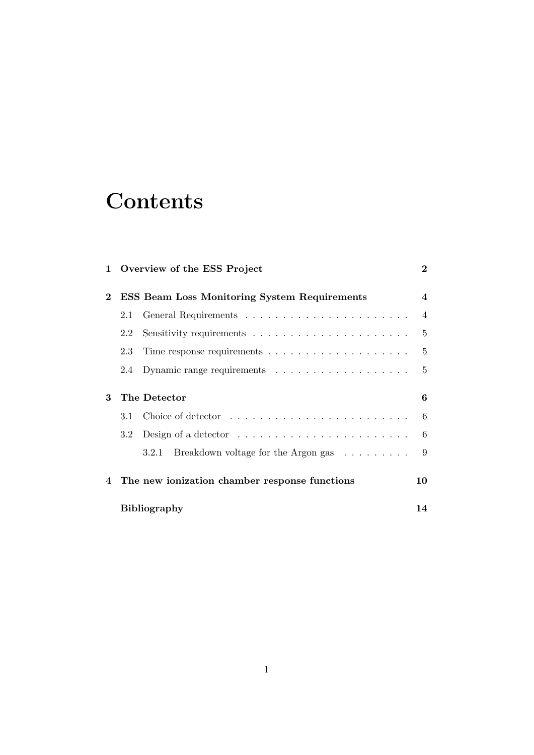# **Contents**

|          | 1 Overview of the ESS Project                                                 | $\bf{2}$                 |
|----------|-------------------------------------------------------------------------------|--------------------------|
| $\bf{2}$ | <b>ESS Beam Loss Monitoring System Requirements</b>                           | $\overline{\mathcal{A}}$ |
|          | 2.1                                                                           | $\overline{4}$           |
|          | 2.2                                                                           | 5                        |
|          | 2.3                                                                           | 5                        |
|          | 2.4                                                                           | 5                        |
| 3        | The Detector                                                                  | 6                        |
|          | 3.1                                                                           | 6                        |
|          | Design of a detector $\dots \dots \dots \dots \dots \dots \dots \dots$<br>3.2 | 6                        |
|          | Breakdown voltage for the Argon gas<br>3.2.1                                  | 9                        |
| 4        | The new ionization chamber response functions                                 | 10                       |
|          | <b>Bibliography</b>                                                           | 14                       |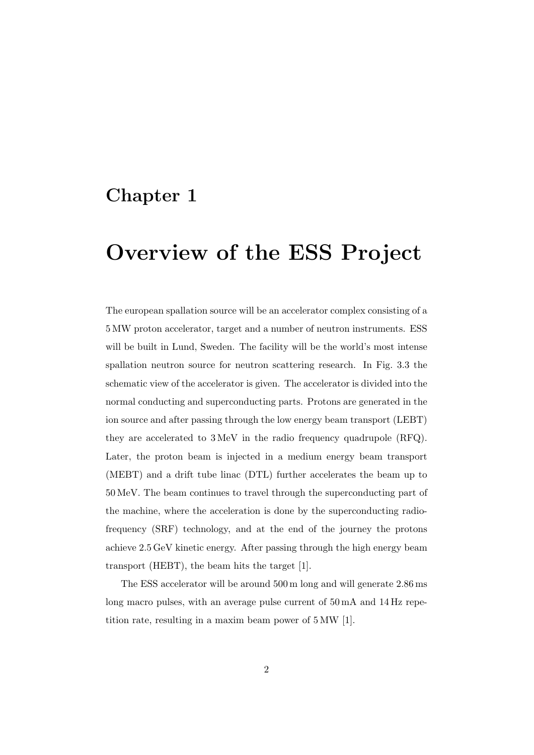# Overview of the ESS Project

The european spallation source will be an accelerator complex consisting of a 5 MW proton accelerator, target and a number of neutron instruments. ESS will be built in Lund, Sweden. The facility will be the world's most intense spallation neutron source for neutron scattering research. In Fig. 3.3 the schematic view of the accelerator is given. The accelerator is divided into the normal conducting and superconducting parts. Protons are generated in the ion source and after passing through the low energy beam transport (LEBT) they are accelerated to 3 MeV in the radio frequency quadrupole (RFQ). Later, the proton beam is injected in a medium energy beam transport (MEBT) and a drift tube linac (DTL) further accelerates the beam up to 50 MeV. The beam continues to travel through the superconducting part of the machine, where the acceleration is done by the superconducting radiofrequency (SRF) technology, and at the end of the journey the protons achieve 2.5 GeV kinetic energy. After passing through the high energy beam transport (HEBT), the beam hits the target [1].

The ESS accelerator will be around 500 m long and will generate 2.86 ms long macro pulses, with an average pulse current of  $50 \text{ mA}$  and  $14 \text{ Hz}$  repetition rate, resulting in a maxim beam power of 5 MW [1].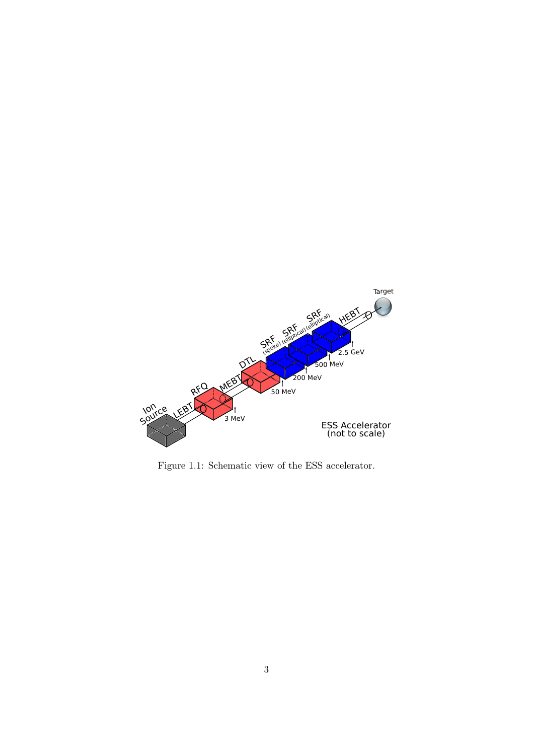

Figure 1.1: Schematic view of the ESS accelerator.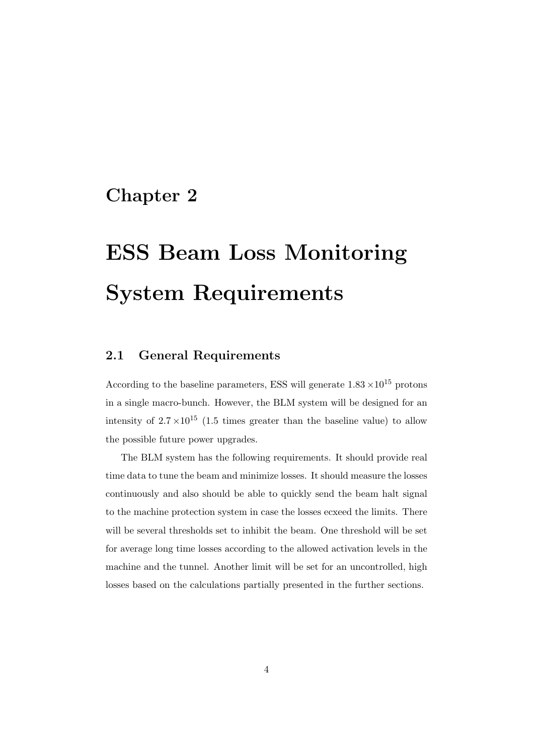# ESS Beam Loss Monitoring System Requirements

#### 2.1 General Requirements

According to the baseline parameters, ESS will generate  $1.83 \times 10^{15}$  protons in a single macro-bunch. However, the BLM system will be designed for an intensity of  $2.7 \times 10^{15}$  (1.5 times greater than the baseline value) to allow the possible future power upgrades.

The BLM system has the following requirements. It should provide real time data to tune the beam and minimize losses. It should measure the losses continuously and also should be able to quickly send the beam halt signal to the machine protection system in case the losses ecxeed the limits. There will be several thresholds set to inhibit the beam. One threshold will be set for average long time losses according to the allowed activation levels in the machine and the tunnel. Another limit will be set for an uncontrolled, high losses based on the calculations partially presented in the further sections.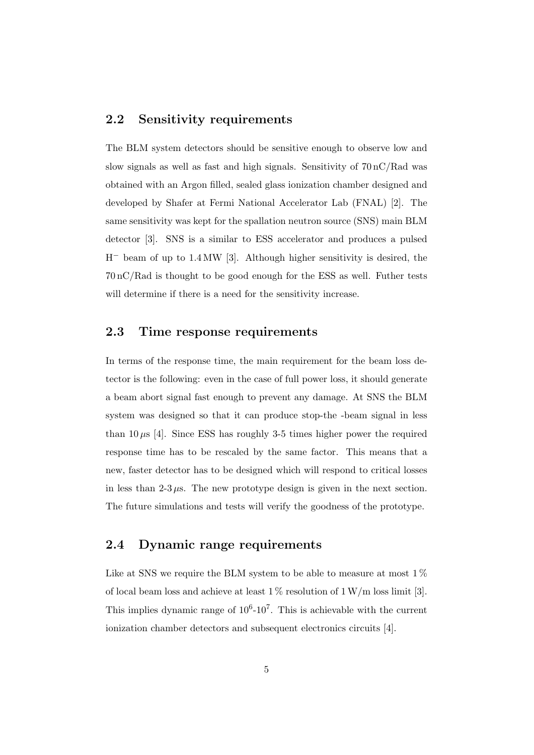#### 2.2 Sensitivity requirements

The BLM system detectors should be sensitive enough to observe low and slow signals as well as fast and high signals. Sensitivity of  $70 \text{ nC/Rad}$  was obtained with an Argon filled, sealed glass ionization chamber designed and developed by Shafer at Fermi National Accelerator Lab (FNAL) [2]. The same sensitivity was kept for the spallation neutron source (SNS) main BLM detector [3]. SNS is a similar to ESS accelerator and produces a pulsed H− beam of up to 1.4 MW [3]. Although higher sensitivity is desired, the 70 nC/Rad is thought to be good enough for the ESS as well. Futher tests will determine if there is a need for the sensitivity increase.

#### 2.3 Time response requirements

In terms of the response time, the main requirement for the beam loss detector is the following: even in the case of full power loss, it should generate a beam abort signal fast enough to prevent any damage. At SNS the BLM system was designed so that it can produce stop-the -beam signal in less than  $10 \mu s$  [4]. Since ESS has roughly 3-5 times higher power the required response time has to be rescaled by the same factor. This means that a new, faster detector has to be designed which will respond to critical losses in less than  $2-3 \mu s$ . The new prototype design is given in the next section. The future simulations and tests will verify the goodness of the prototype.

#### 2.4 Dynamic range requirements

Like at SNS we require the BLM system to be able to measure at most  $1\%$ of local beam loss and achieve at least  $1\%$  resolution of  $1\,\mathrm{W/m}$  loss limit [3]. This implies dynamic range of  $10^6$ -10<sup>7</sup>. This is achievable with the current ionization chamber detectors and subsequent electronics circuits [4].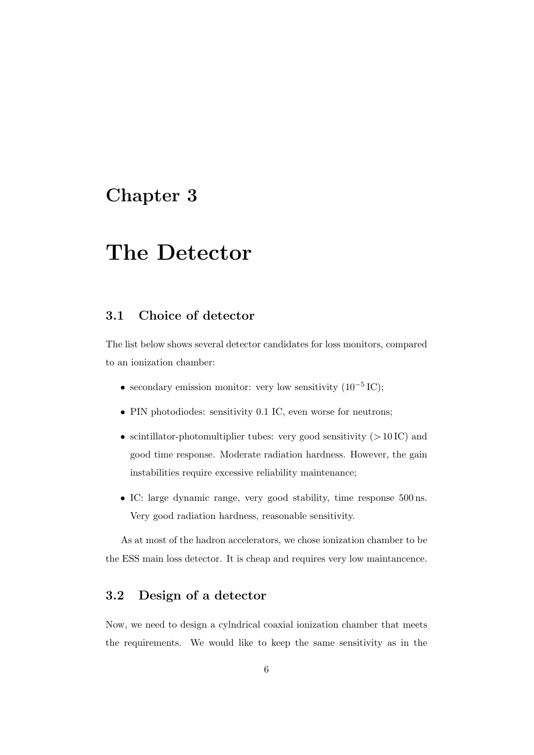## The Detector

#### 3.1 Choice of detector

The list below shows several detector candidates for loss monitors, compared to an ionization chamber:

- secondary emission monitor: very low sensitivity  $(10^{-5} \text{ IC})$ ;
- PIN photodiodes: sensitivity 0.1 IC, even worse for neutrons;
- scintillator-photomultiplier tubes: very good sensitivity (*>* 10 IC) and good time response. Moderate radiation hardness. However, the gain instabilities require excessive reliability maintenance;
- IC: large dynamic range, very good stability, time response 500 ns. Very good radiation hardness, reasonable sensitivity.

As at most of the hadron accelerators, we chose ionization chamber to be the ESS main loss detector. It is cheap and requires very low maintancence.

#### 3.2 Design of a detector

Now, we need to design a cylndrical coaxial ionization chamber that meets the requirements. We would like to keep the same sensitivity as in the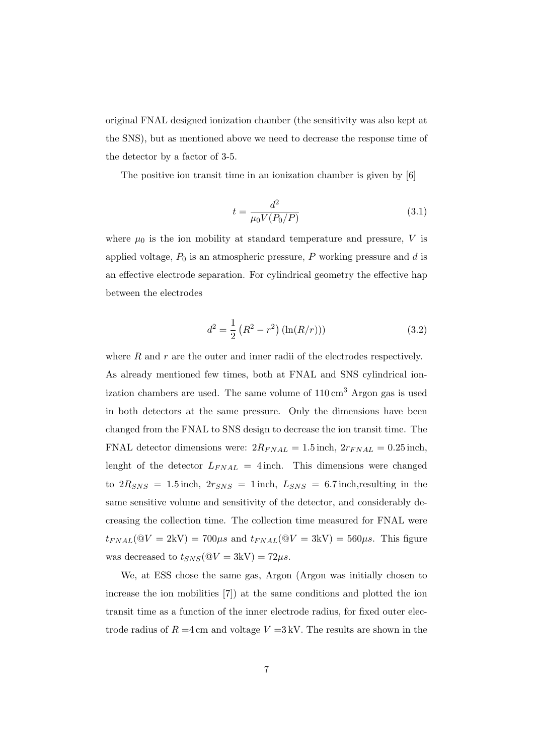original FNAL designed ionization chamber (the sensitivity was also kept at the SNS), but as mentioned above we need to decrease the response time of the detector by a factor of 3-5.

The positive ion transit time in an ionization chamber is given by [6]

$$
t = \frac{d^2}{\mu_0 V(P_0/P)}\tag{3.1}
$$

where  $\mu_0$  is the ion mobility at standard temperature and pressure, *V* is applied voltage,  $P_0$  is an atmospheric pressure,  $P$  working pressure and  $d$  is an effective electrode separation. For cylindrical geometry the effective hap between the electrodes

$$
d^{2} = \frac{1}{2} (R^{2} - r^{2}) (\ln(R/r)))
$$
\n(3.2)

where *R* and *r* are the outer and inner radii of the electrodes respectively. As already mentioned few times, both at FNAL and SNS cylindrical ionization chambers are used. The same volume of  $110 \text{ cm}^3$  Argon gas is used in both detectors at the same pressure. Only the dimensions have been changed from the FNAL to SNS design to decrease the ion transit time. The FNAL detector dimensions were:  $2R_{FNAL} = 1.5$  inch,  $2r_{FNAL} = 0.25$  inch, lenght of the detector  $L_{FNAL} = 4$  inch. This dimensions were changed to  $2R_{SNS} = 1.5$  inch,  $2r_{SNS} = 1$  inch,  $L_{SNS} = 6.7$  inch, resulting in the same sensitive volume and sensitivity of the detector, and considerably decreasing the collection time. The collection time measured for FNAL were  $t_{FNAL}(\mathbb{Q}V = 2\text{kV}) = 700\mu s$  and  $t_{FNAL}(\mathbb{Q}V = 3\text{kV}) = 560\mu s$ . This figure was decreased to  $t_{SNS}(\mathbb{Q}V = 3\text{kV}) = 72\mu s$ .

We, at ESS chose the same gas, Argon (Argon was initially chosen to increase the ion mobilities [7]) at the same conditions and plotted the ion transit time as a function of the inner electrode radius, for fixed outer electrode radius of  $R = 4$  cm and voltage  $V = 3$  kV. The results are shown in the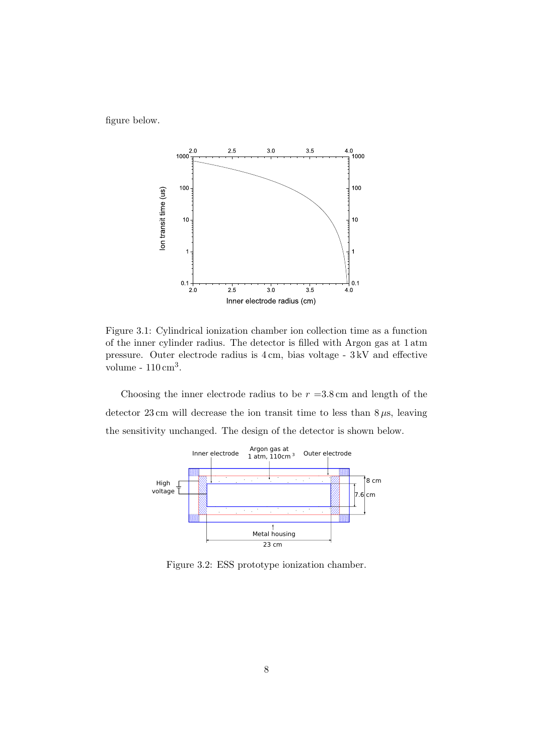figure below.



Figure 3.1: Cylindrical ionization chamber ion collection time as a function of the inner cylinder radius. The detector is filled with Argon gas at 1 atm pressure. Outer electrode radius is 4 cm, bias voltage - 3 kV and effective volume - 110 cm3.

Choosing the inner electrode radius to be  $r = 3.8$  cm and length of the detector  $23 \text{ cm}$  will decrease the ion transit time to less than  $8 \mu s$ , leaving the sensitivity unchanged. The design of the detector is shown below.



Figure 3.2: ESS prototype ionization chamber.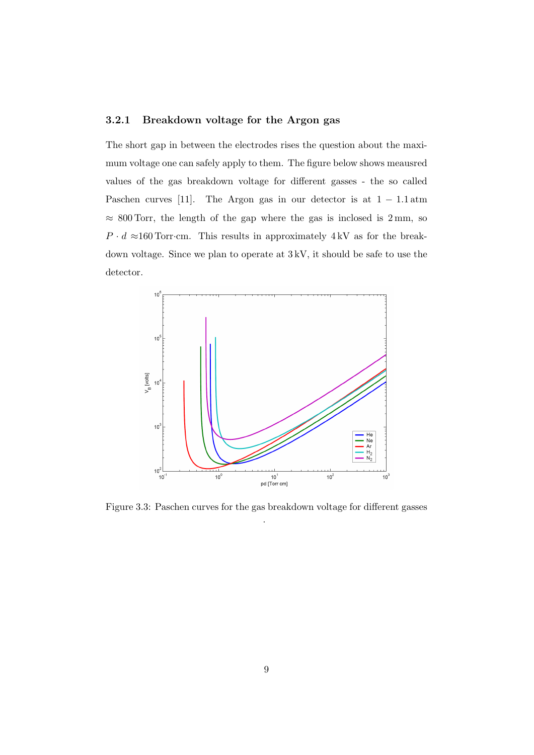#### 3.2.1 Breakdown voltage for the Argon gas

The short gap in between the electrodes rises the question about the maximum voltage one can safely apply to them. The figure below shows meausred values of the gas breakdown voltage for different gasses - the so called Paschen curves [11]. The Argon gas in our detector is at 1 − 1*.*1 atm  $\approx 800$  Torr, the length of the gap where the gas is inclosed is 2 mm, so  $P \cdot d \approx 160$  Torr·cm. This results in approximately 4 kV as for the breakdown voltage. Since we plan to operate at 3 kV, it should be safe to use the detector.



Figure 3.3: Paschen curves for the gas breakdown voltage for different gasses .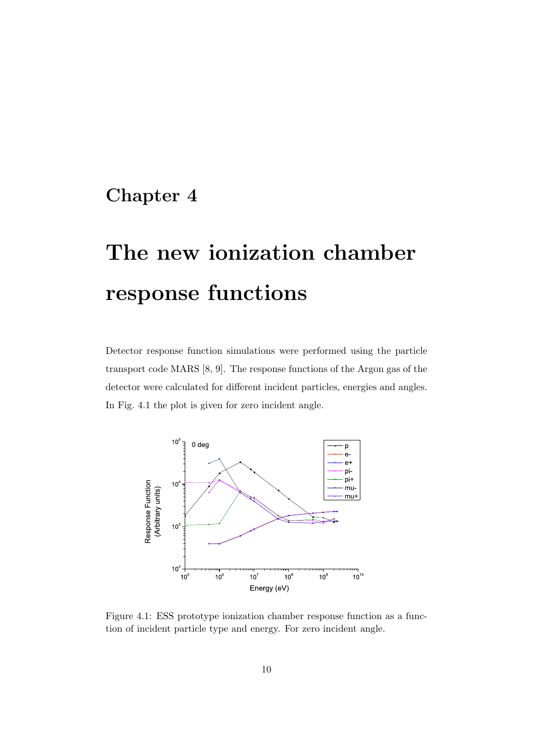# The new ionization chamber response functions

Detector response function simulations were performed using the particle transport code MARS [8, 9]. The response functions of the Argon gas of the detector were calculated for different incident particles, energies and angles. In Fig. 4.1 the plot is given for zero incident angle.



Figure 4.1: ESS prototype ionization chamber response function as a function of incident particle type and energy. For zero incident angle.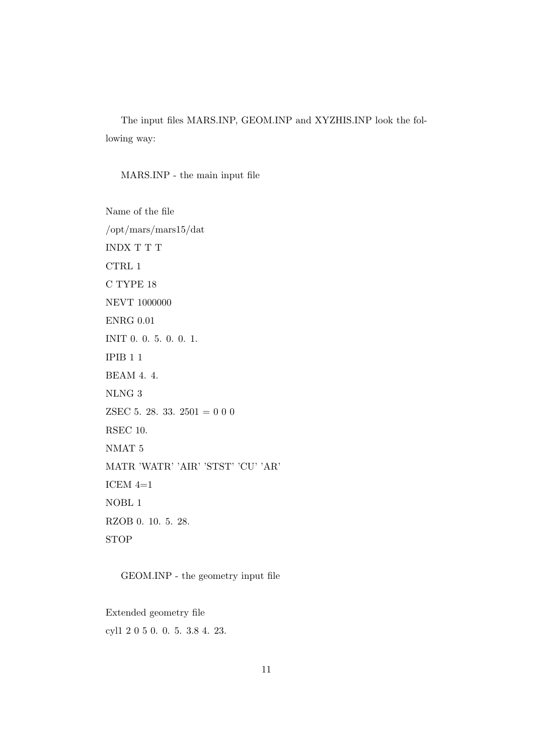The input files MARS.INP, GEOM.INP and XYZHIS.INP look the following way:

#### MARS.INP - the main input file

Name of the file /opt/mars/mars15/dat INDX T T T CTRL 1 C TYPE 18 NEVT 1000000 ENRG 0.01 INIT 0. 0. 5. 0. 0. 1. IPIB 1 1 BEAM 4. 4. NLNG 3 ZSEC 5. 28. 33.  $2501 = 000$ RSEC 10. NMAT 5 MATR 'WATR' 'AIR' 'STST' 'CU' 'AR' ICEM  $4=1$ NOBL 1 RZOB 0. 10. 5. 28. STOP

GEOM.INP - the geometry input file

Extended geometry file cyl1 2 0 5 0. 0. 5. 3.8 4. 23.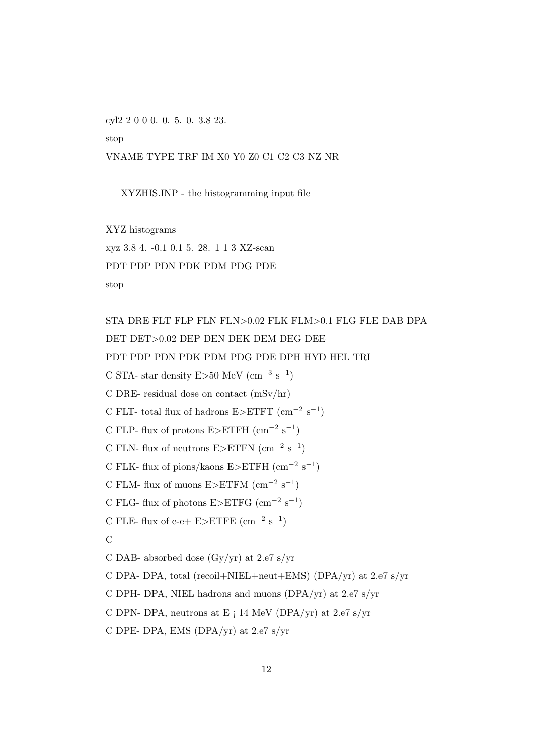cyl2 2 0 0 0. 0. 5. 0. 3.8 23.

stop

VNAME TYPE TRF IM X0 Y0 Z0 C1 C2 C3 NZ NR

XYZHIS.INP - the histogramming input file

XYZ histograms

xyz 3.8 4. -0.1 0.1 5. 28. 1 1 3 XZ-scan

PDT PDP PDN PDK PDM PDG PDE

stop

STA DRE FLT FLP FLN FLN*>*0.02 FLK FLM*>*0.1 FLG FLE DAB DPA DET DET*>*0.02 DEP DEN DEK DEM DEG DEE PDT PDP PDN PDK PDM PDG PDE DPH HYD HEL TRI C STA- star density E>50 MeV  $\rm (cm^{-3} \ s^{-1})$ C DRE- residual dose on contact (mSv/hr) C FLT- total flux of hadrons E>ETFT  $\rm (cm^{-2}~s^{-1})$ C FLP- flux of protons E*>*ETFH (cm−<sup>2</sup> s−1) C FLN- flux of neutrons E*>*ETFN (cm−<sup>2</sup> s−1) C FLK- flux of pions/kaons E*>*ETFH (cm−<sup>2</sup> s−1) C FLM- flux of muons  $E > ETFM$  (cm<sup>-2</sup> s<sup>-1</sup>) C FLG- flux of photons  $E > ETFG$  (cm<sup>-2</sup> s<sup>-1</sup>) C FLE- flux of e-e+  $E > E$ TFE  $(cm<sup>-2</sup> s<sup>-1</sup>)$  $\mathcal{C}$ C DAB- absorbed dose (Gy/yr) at 2.e7 s/yr C DPA- DPA, total (recoil+NIEL+neut+EMS) (DPA/yr) at 2.e7 s/yr C DPH- DPA, NIEL hadrons and muons (DPA/yr) at 2.e7 s/yr C DPN- DPA, neutrons at E  $\vert$  14 MeV (DPA/yr) at 2.e7 s/yr C DPE- DPA, EMS (DPA/yr) at 2.e7 s/yr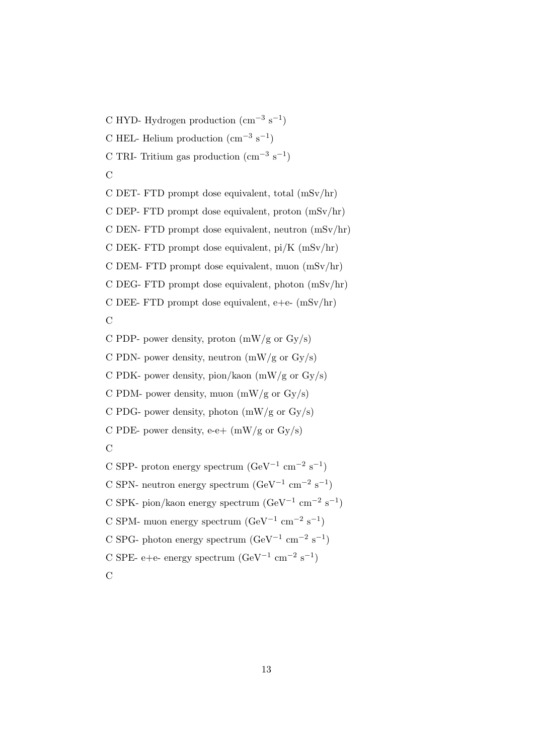C HYD- Hydrogen production  $\text{cm}^{-3} \text{ s}^{-1}$ ) C HEL- Helium production  $\text{cm}^{-3} \text{ s}^{-1}$ ) C TRI- Tritium gas production  $\text{cm}^{-3} \text{ s}^{-1}$ )  $\overline{C}$ 

C DET- FTD prompt dose equivalent, total (mSv/hr) C DEP- FTD prompt dose equivalent, proton  $(mSv/hr)$ C DEN- FTD prompt dose equivalent, neutron (mSv/hr) C DEK- FTD prompt dose equivalent,  $pi/K$  (mSv/hr) C DEM- FTD prompt dose equivalent, muon (mSv/hr) C DEG- FTD prompt dose equivalent, photon (mSv/hr) C DEE- FTD prompt dose equivalent,  $e+e (mSv/hr)$  $\mathcal{C}$ 

C PDP- power density, proton  $(mW/g \text{ or } Gy/s)$ 

C PDN- power density, neutron  $(mW/g \text{ or } Gy/s)$ 

C PDK- power density, pion/kaon (mW/g or Gy/s)

C PDM- power density, muon  $(mW/g \text{ or } Gy/s)$ 

C PDG- power density, photon  $(mW/g \text{ or } Gy/s)$ 

C PDE- power density, e-e+  $(mW/g \text{ or } Gy/s)$ 

C

- C SPP- proton energy spectrum  $(\text{GeV}^{-1} \text{ cm}^{-2} \text{ s}^{-1})$ C SPN- neutron energy spectrum  $(\text{GeV}^{-1} \text{ cm}^{-2} \text{ s}^{-1})$ C SPK- pion/kaon energy spectrum ( $\text{GeV}^{-1} \text{ cm}^{-2} \text{ s}^{-1}$ ) C SPM- muon energy spectrum  $(\text{GeV}^{-1} \text{ cm}^{-2} \text{ s}^{-1})$
- C SPG- photon energy spectrum  $(\text{GeV}^{-1} \text{ cm}^{-2} \text{ s}^{-1})$
- C SPE- e+e- energy spectrum  $(\text{GeV}^{-1} \text{ cm}^{-2} \text{ s}^{-1})$
- $\mathcal{C}$